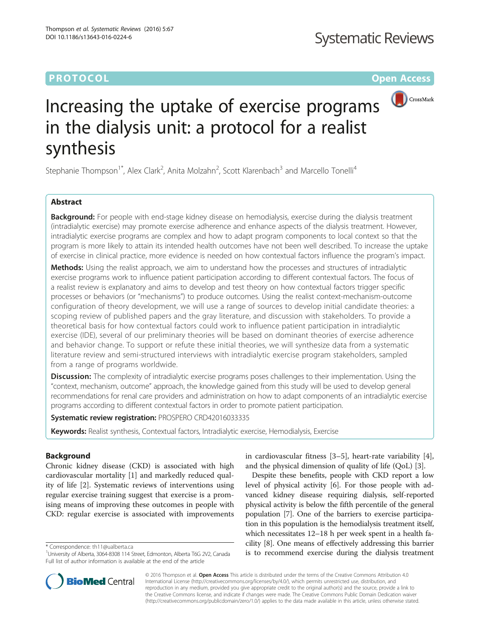# **PROTOCOL CONSUMING THE CONSUMING TEACHER CONSUMING THE CONSUMING TEACHER CONSUMING THE CONSUMING TEACHER CONSUMING**



# Increasing the uptake of exercise programs in the dialysis unit: a protocol for a realist synthesis

Stephanie Thompson<sup>1\*</sup>, Alex Clark<sup>2</sup>, Anita Molzahn<sup>2</sup>, Scott Klarenbach<sup>3</sup> and Marcello Tonelli<sup>4</sup>

# Abstract

**Background:** For people with end-stage kidney disease on hemodialysis, exercise during the dialysis treatment (intradialytic exercise) may promote exercise adherence and enhance aspects of the dialysis treatment. However, intradialytic exercise programs are complex and how to adapt program components to local context so that the program is more likely to attain its intended health outcomes have not been well described. To increase the uptake of exercise in clinical practice, more evidence is needed on how contextual factors influence the program's impact.

Methods: Using the realist approach, we aim to understand how the processes and structures of intradialytic exercise programs work to influence patient participation according to different contextual factors. The focus of a realist review is explanatory and aims to develop and test theory on how contextual factors trigger specific processes or behaviors (or "mechanisms") to produce outcomes. Using the realist context-mechanism-outcome configuration of theory development, we will use a range of sources to develop initial candidate theories: a scoping review of published papers and the gray literature, and discussion with stakeholders. To provide a theoretical basis for how contextual factors could work to influence patient participation in intradialytic exercise (IDE), several of our preliminary theories will be based on dominant theories of exercise adherence and behavior change. To support or refute these initial theories, we will synthesize data from a systematic literature review and semi-structured interviews with intradialytic exercise program stakeholders, sampled from a range of programs worldwide.

**Discussion:** The complexity of intradialytic exercise programs poses challenges to their implementation. Using the "context, mechanism, outcome" approach, the knowledge gained from this study will be used to develop general recommendations for renal care providers and administration on how to adapt components of an intradialytic exercise programs according to different contextual factors in order to promote patient participation.

Systematic review registration: PROSPERO [CRD42016033335](http://www.crd.york.ac.uk/prospero/display_record.asp?ID=CRD42016033335)

Keywords: Realist synthesis, Contextual factors, Intradialytic exercise, Hemodialysis, Exercise

# Background

Chronic kidney disease (CKD) is associated with high cardiovascular mortality [\[1](#page-4-0)] and markedly reduced quality of life [[2](#page-4-0)]. Systematic reviews of interventions using regular exercise training suggest that exercise is a promising means of improving these outcomes in people with CKD: regular exercise is associated with improvements



Despite these benefits, people with CKD report a low level of physical activity [\[6\]](#page-4-0). For those people with advanced kidney disease requiring dialysis, self-reported physical activity is below the fifth percentile of the general population [[7\]](#page-4-0). One of the barriers to exercise participation in this population is the hemodialysis treatment itself, which necessitates 12–18 h per week spent in a health facility [\[8](#page-4-0)]. One means of effectively addressing this barrier correspondence: [th11@ualberta.ca](mailto:th11@ualberta.ca) exercise during the dialysis treatment \* Correspondence: th11@ualberta.ca 199<br>Iniversity of Alberta, 3064-8308 114 Street, Edmonton, Alberta T6G 2V2, Canada 10 is to recommend exercise duri



© 2016 Thompson et al. Open Access This article is distributed under the terms of the Creative Commons Attribution 4.0 International License [\(http://creativecommons.org/licenses/by/4.0/](http://creativecommons.org/licenses/by/4.0/)), which permits unrestricted use, distribution, and reproduction in any medium, provided you give appropriate credit to the original author(s) and the source, provide a link to the Creative Commons license, and indicate if changes were made. The Creative Commons Public Domain Dedication waiver [\(http://creativecommons.org/publicdomain/zero/1.0/](http://creativecommons.org/publicdomain/zero/1.0/)) applies to the data made available in this article, unless otherwise stated.

University of Alberta, 3064-8308 114 Street, Edmonton, Alberta T6G 2V2, Canada Full list of author information is available at the end of the article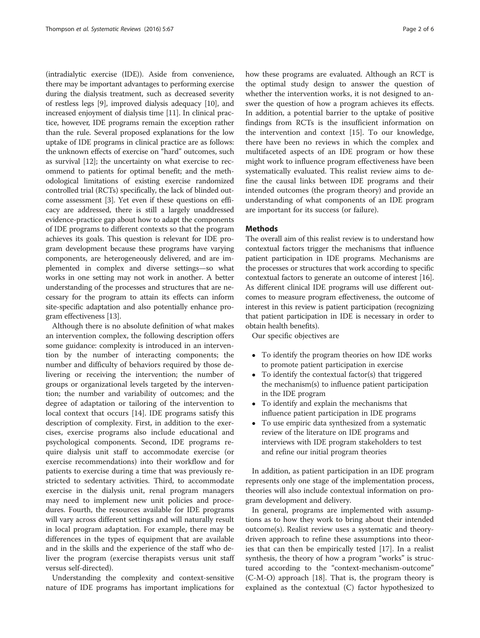(intradialytic exercise (IDE)). Aside from convenience, there may be important advantages to performing exercise during the dialysis treatment, such as decreased severity of restless legs [[9\]](#page-4-0), improved dialysis adequacy [[10](#page-4-0)], and increased enjoyment of dialysis time [\[11\]](#page-4-0). In clinical practice, however, IDE programs remain the exception rather than the rule. Several proposed explanations for the low uptake of IDE programs in clinical practice are as follows: the unknown effects of exercise on "hard" outcomes, such as survival [\[12\]](#page-4-0); the uncertainty on what exercise to recommend to patients for optimal benefit; and the methodological limitations of existing exercise randomized controlled trial (RCTs) specifically, the lack of blinded outcome assessment [\[3](#page-4-0)]. Yet even if these questions on efficacy are addressed, there is still a largely unaddressed evidence-practice gap about how to adapt the components of IDE programs to different contexts so that the program achieves its goals. This question is relevant for IDE program development because these programs have varying components, are heterogeneously delivered, and are implemented in complex and diverse settings—so what works in one setting may not work in another. A better understanding of the processes and structures that are necessary for the program to attain its effects can inform site-specific adaptation and also potentially enhance program effectiveness [\[13](#page-4-0)].

Although there is no absolute definition of what makes an intervention complex, the following description offers some guidance: complexity is introduced in an intervention by the number of interacting components; the number and difficulty of behaviors required by those delivering or receiving the intervention; the number of groups or organizational levels targeted by the intervention; the number and variability of outcomes; and the degree of adaptation or tailoring of the intervention to local context that occurs [[14](#page-4-0)]. IDE programs satisfy this description of complexity. First, in addition to the exercises, exercise programs also include educational and psychological components. Second, IDE programs require dialysis unit staff to accommodate exercise (or exercise recommendations) into their workflow and for patients to exercise during a time that was previously restricted to sedentary activities. Third, to accommodate exercise in the dialysis unit, renal program managers may need to implement new unit policies and procedures. Fourth, the resources available for IDE programs will vary across different settings and will naturally result in local program adaptation. For example, there may be differences in the types of equipment that are available and in the skills and the experience of the staff who deliver the program (exercise therapists versus unit staff versus self-directed).

Understanding the complexity and context-sensitive nature of IDE programs has important implications for how these programs are evaluated. Although an RCT is the optimal study design to answer the question of whether the intervention works, it is not designed to answer the question of how a program achieves its effects. In addition, a potential barrier to the uptake of positive findings from RCTs is the insufficient information on the intervention and context [[15\]](#page-4-0). To our knowledge, there have been no reviews in which the complex and multifaceted aspects of an IDE program or how these might work to influence program effectiveness have been systematically evaluated. This realist review aims to define the causal links between IDE programs and their intended outcomes (the program theory) and provide an understanding of what components of an IDE program

# **Methods**

The overall aim of this realist review is to understand how contextual factors trigger the mechanisms that influence patient participation in IDE programs. Mechanisms are the processes or structures that work according to specific contextual factors to generate an outcome of interest [[16](#page-4-0)]. As different clinical IDE programs will use different outcomes to measure program effectiveness, the outcome of interest in this review is patient participation (recognizing that patient participation in IDE is necessary in order to obtain health benefits).

Our specific objectives are

are important for its success (or failure).

- To identify the program theories on how IDE works to promote patient participation in exercise
- To identify the contextual factor(s) that triggered the mechanism(s) to influence patient participation in the IDE program
- To identify and explain the mechanisms that influence patient participation in IDE programs
- To use empiric data synthesized from a systematic review of the literature on IDE programs and interviews with IDE program stakeholders to test and refine our initial program theories

In addition, as patient participation in an IDE program represents only one stage of the implementation process, theories will also include contextual information on program development and delivery.

In general, programs are implemented with assumptions as to how they work to bring about their intended outcome(s). Realist review uses a systematic and theorydriven approach to refine these assumptions into theories that can then be empirically tested [[17\]](#page-4-0). In a realist synthesis, the theory of how a program "works" is structured according to the "context-mechanism-outcome" (C-M-O) approach [[18](#page-4-0)]. That is, the program theory is explained as the contextual (C) factor hypothesized to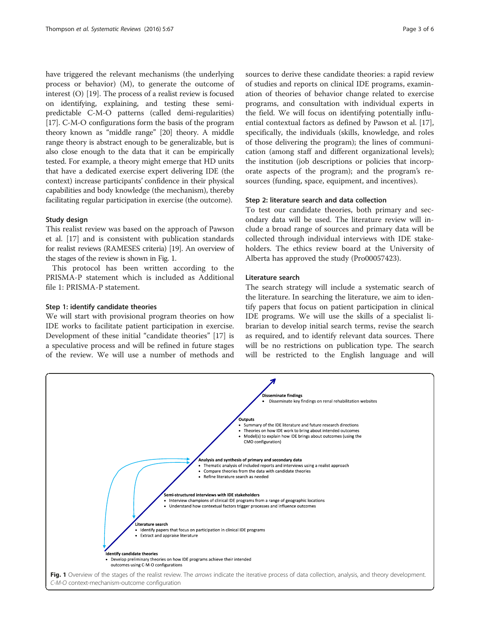have triggered the relevant mechanisms (the underlying process or behavior) (M), to generate the outcome of interest (O) [\[19](#page-4-0)]. The process of a realist review is focused on identifying, explaining, and testing these semipredictable C-M-O patterns (called demi-regularities) [[17](#page-4-0)]. C-M-O configurations form the basis of the program theory known as "middle range" [\[20\]](#page-4-0) theory. A middle range theory is abstract enough to be generalizable, but is also close enough to the data that it can be empirically tested. For example, a theory might emerge that HD units that have a dedicated exercise expert delivering IDE (the context) increase participants' confidence in their physical capabilities and body knowledge (the mechanism), thereby facilitating regular participation in exercise (the outcome).

# Study design

This realist review was based on the approach of Pawson et al. [\[17](#page-4-0)] and is consistent with publication standards for realist reviews (RAMESES criteria) [\[19](#page-4-0)]. An overview of the stages of the review is shown in Fig. 1.

This protocol has been written according to the PRISMA-P statement which is included as Additional file [1](#page-4-0): PRISMA-P statement.

# Step 1: identify candidate theories

We will start with provisional program theories on how IDE works to facilitate patient participation in exercise. Development of these initial "candidate theories" [[17](#page-4-0)] is a speculative process and will be refined in future stages of the review. We will use a number of methods and sources to derive these candidate theories: a rapid review of studies and reports on clinical IDE programs, examination of theories of behavior change related to exercise programs, and consultation with individual experts in the field. We will focus on identifying potentially influential contextual factors as defined by Pawson et al. [\[17](#page-4-0)], specifically, the individuals (skills, knowledge, and roles of those delivering the program); the lines of communication (among staff and different organizational levels); the institution (job descriptions or policies that incorporate aspects of the program); and the program's resources (funding, space, equipment, and incentives).

# Step 2: literature search and data collection

To test our candidate theories, both primary and secondary data will be used. The literature review will include a broad range of sources and primary data will be collected through individual interviews with IDE stakeholders. The ethics review board at the University of Alberta has approved the study (Pro00057423).

# Literature search

The search strategy will include a systematic search of the literature. In searching the literature, we aim to identify papers that focus on patient participation in clinical IDE programs. We will use the skills of a specialist librarian to develop initial search terms, revise the search as required, and to identify relevant data sources. There will be no restrictions on publication type. The search will be restricted to the English language and will

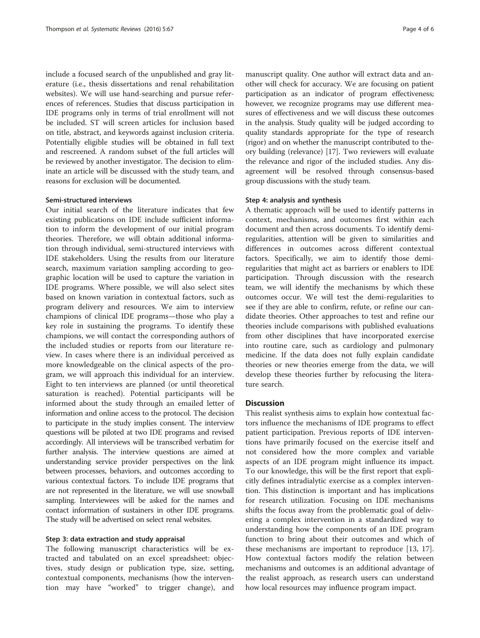include a focused search of the unpublished and gray literature (i.e., thesis dissertations and renal rehabilitation websites). We will use hand-searching and pursue references of references. Studies that discuss participation in IDE programs only in terms of trial enrollment will not be included. ST will screen articles for inclusion based on title, abstract, and keywords against inclusion criteria. Potentially eligible studies will be obtained in full text and rescreened. A random subset of the full articles will be reviewed by another investigator. The decision to eliminate an article will be discussed with the study team, and reasons for exclusion will be documented.

# Semi-structured interviews

Our initial search of the literature indicates that few existing publications on IDE include sufficient information to inform the development of our initial program theories. Therefore, we will obtain additional information through individual, semi-structured interviews with IDE stakeholders. Using the results from our literature search, maximum variation sampling according to geographic location will be used to capture the variation in IDE programs. Where possible, we will also select sites based on known variation in contextual factors, such as program delivery and resources. We aim to interview champions of clinical IDE programs—those who play a key role in sustaining the programs. To identify these champions, we will contact the corresponding authors of the included studies or reports from our literature review. In cases where there is an individual perceived as more knowledgeable on the clinical aspects of the program, we will approach this individual for an interview. Eight to ten interviews are planned (or until theoretical saturation is reached). Potential participants will be informed about the study through an emailed letter of information and online access to the protocol. The decision to participate in the study implies consent. The interview questions will be piloted at two IDE programs and revised accordingly. All interviews will be transcribed verbatim for further analysis. The interview questions are aimed at understanding service provider perspectives on the link between processes, behaviors, and outcomes according to various contextual factors. To include IDE programs that are not represented in the literature, we will use snowball sampling. Interviewees will be asked for the names and contact information of sustainers in other IDE programs. The study will be advertised on select renal websites.

# Step 3: data extraction and study appraisal

The following manuscript characteristics will be extracted and tabulated on an excel spreadsheet: objectives, study design or publication type, size, setting, contextual components, mechanisms (how the intervention may have "worked" to trigger change), and

manuscript quality. One author will extract data and another will check for accuracy. We are focusing on patient participation as an indicator of program effectiveness; however, we recognize programs may use different measures of effectiveness and we will discuss these outcomes in the analysis. Study quality will be judged according to quality standards appropriate for the type of research (rigor) and on whether the manuscript contributed to theory building (relevance) [\[17](#page-4-0)]. Two reviewers will evaluate the relevance and rigor of the included studies. Any disagreement will be resolved through consensus-based group discussions with the study team.

# Step 4: analysis and synthesis

A thematic approach will be used to identify patterns in context, mechanisms, and outcomes first within each document and then across documents. To identify demiregularities, attention will be given to similarities and differences in outcomes across different contextual factors. Specifically, we aim to identify those demiregularities that might act as barriers or enablers to IDE participation. Through discussion with the research team, we will identify the mechanisms by which these outcomes occur. We will test the demi-regularities to see if they are able to confirm, refute, or refine our candidate theories. Other approaches to test and refine our theories include comparisons with published evaluations from other disciplines that have incorporated exercise into routine care, such as cardiology and pulmonary medicine. If the data does not fully explain candidate theories or new theories emerge from the data, we will develop these theories further by refocusing the literature search.

# **Discussion**

This realist synthesis aims to explain how contextual factors influence the mechanisms of IDE programs to effect patient participation. Previous reports of IDE interventions have primarily focused on the exercise itself and not considered how the more complex and variable aspects of an IDE program might influence its impact. To our knowledge, this will be the first report that explicitly defines intradialytic exercise as a complex intervention. This distinction is important and has implications for research utilization. Focusing on IDE mechanisms shifts the focus away from the problematic goal of delivering a complex intervention in a standardized way to understanding how the components of an IDE program function to bring about their outcomes and which of these mechanisms are important to reproduce [\[13](#page-4-0), [17](#page-4-0)]. How contextual factors modify the relation between mechanisms and outcomes is an additional advantage of the realist approach, as research users can understand how local resources may influence program impact.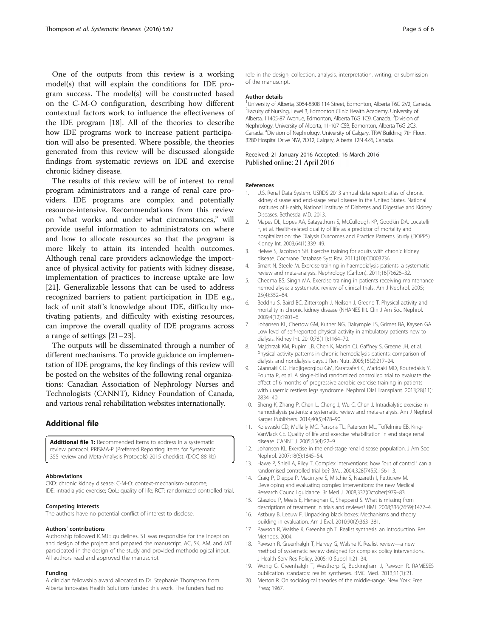<span id="page-4-0"></span>One of the outputs from this review is a working model(s) that will explain the conditions for IDE program success. The model(s) will be constructed based on the C-M-O configuration, describing how different contextual factors work to influence the effectiveness of the IDE program [18]. All of the theories to describe how IDE programs work to increase patient participation will also be presented. Where possible, the theories generated from this review will be discussed alongside findings from systematic reviews on IDE and exercise chronic kidney disease.

The results of this review will be of interest to renal program administrators and a range of renal care providers. IDE programs are complex and potentially resource-intensive. Recommendations from this review on "what works and under what circumstances," will provide useful information to administrators on where and how to allocate resources so that the program is more likely to attain its intended health outcomes. Although renal care providers acknowledge the importance of physical activity for patients with kidney disease, implementation of practices to increase uptake are low [[21\]](#page-5-0). Generalizable lessons that can be used to address recognized barriers to patient participation in IDE e.g., lack of unit staff's knowledge about IDE, difficulty motivating patients, and difficulty with existing resources, can improve the overall quality of IDE programs across a range of settings [[21](#page-5-0)–[23](#page-5-0)].

The outputs will be disseminated through a number of different mechanisms. To provide guidance on implementation of IDE programs, the key findings of this review will be posted on the websites of the following renal organizations: Canadian Association of Nephrology Nurses and Technologists (CANNT), Kidney Foundation of Canada, and various renal rehabilitation websites internationally.

# Additional file

[Additional file 1:](dx.doi.org/10.1186/s13643-016-0224-6) Recommended items to address in a systematic review protocol. PRISMA-P (Preferred Reporting Items for Systematic 355 review and Meta-Analysis Protocols) 2015 checklist. (DOC 88 kb)

## Abbreviations

CKD: chronic kidney disease; C-M-O: context-mechanism-outcome; IDE: intradialytic exercise; QoL: quality of life; RCT: randomized controlled trial.

#### Competing interests

The authors have no potential conflict of interest to disclose.

# Authors' contributions

Authorship followed ICMJE guidelines. ST was responsible for the inception and design of the project and prepared the manuscript. AC, SK, AM, and MT participated in the design of the study and provided methodological input. All authors read and approved the manuscript.

#### Funding

A clinician fellowship award allocated to Dr. Stephanie Thompson from Alberta Innovates Health Solutions funded this work. The funders had no role in the design, collection, analysis, interpretation, writing, or submission of the manuscript.

## Author details

<sup>1</sup> University of Alberta, 3064-8308 114 Street, Edmonton, Alberta T6G 2V2, Canada. <sup>2</sup>Faculty of Nursing, Level 3, Edmonton Clinic Health Academy, University of Alberta, 11405-87 Avenue, Edmonton, Alberta T6G 1C9, Canada. <sup>3</sup>Division of Nephrology, University of Alberta, 11-107 CSB, Edmonton, Alberta T6G 2C3, Canada. <sup>4</sup> Division of Nephrology, University of Calgary, TRW Building, 7th Floor, 3280 Hospital Drive NW, 7D12, Calgary, Alberta T2N 4Z6, Canada.

# Received: 21 January 2016 Accepted: 16 March 2016

#### References

- 1. U.S. Renal Data System. USRDS 2013 annual data report: atlas of chronic kidney disease and end-stage renal disease in the United States, National Institutes of Health, National Institute of Diabetes and Digestive and Kidney Diseases, Bethesda, MD. 2013.
- 2. Mapes DL, Lopes AA, Satayathum S, McCullough KP, Goodkin DA, Locatelli F, et al. Health-related quality of life as a predictor of mortality and hospitalization: the Dialysis Outcomes and Practice Patterns Study (DOPPS). Kidney Int. 2003;64(1):339–49.
- 3. Heiwe S, Jacobson SH. Exercise training for adults with chronic kidney disease. Cochrane Database Syst Rev. 2011;(10):CD003236.
- 4. Smart N, Steele M. Exercise training in haemodialysis patients: a systematic review and meta-analysis. Nephrology (Carlton). 2011;16(7):626–32.
- 5. Cheema BS, Singh MA. Exercise training in patients receiving maintenance hemodialysis: a systematic review of clinical trials. Am J Nephrol. 2005; 25(4):352–64.
- 6. Beddhu S, Baird BC, Zitterkoph J, Neilson J, Greene T. Physical activity and mortality in chronic kidney disease (NHANES III). Clin J Am Soc Nephrol. 2009;4(12):1901–6.
- 7. Johansen KL, Chertow GM, Kutner NG, Dalrymple LS, Grimes BA, Kaysen GA. Low level of self-reported physical activity in ambulatory patients new to dialysis. Kidney Int. 2010;78(11):1164–70.
- 8. Majchrzak KM, Pupim LB, Chen K, Martin CJ, Gaffney S, Greene JH, et al. Physical activity patterns in chronic hemodialysis patients: comparison of dialysis and nondialysis days. J Ren Nutr. 2005;15(2):217–24.
- 9. Giannaki CD, Hadjigeorgiou GM, Karatzaferi C, Maridaki MD, Koutedakis Y, Founta P, et al. A single-blind randomized controlled trial to evaluate the effect of 6 months of progressive aerobic exercise training in patients with uraemic restless legs syndrome. Nephrol Dial Transplant. 2013;28(11): 2834–40.
- 10. Sheng K, Zhang P, Chen L, Cheng J, Wu C, Chen J. Intradialytic exercise in hemodialysis patients: a systematic review and meta-analysis. Am J Nephrol Karger Publishers. 2014;40(5):478–90.
- 11. Kolewaski CD, Mullally MC, Parsons TL, Paterson ML, Toffelmire EB, King-VanVlack CE. Quality of life and exercise rehabilitation in end stage renal disease. CANNT J. 2005;15(4):22–9.
- 12. Johansen KL. Exercise in the end-stage renal disease population. J Am Soc Nephrol. 2007;18(6):1845–54.
- 13. Hawe P, Shiell A, Riley T. Complex interventions: how "out of control" can a randomised controlled trial be? BMJ. 2004;328(7455):1561–3.
- 14. Craig P, Dieppe P, Macintyre S, Mitchie S, Nazareth I, Petticrew M. Developing and evaluating complex interventions: the new Medical Research Council guidance. Br Med J. 2008;337(October):979–83.
- 15. Glasziou P, Meats E, Heneghan C, Shepperd S. What is missing from descriptions of treatment in trials and reviews? BMJ. 2008;336(7659):1472–4.
- 16. Astbury B, Leeuw F. Unpacking black boxes: Mechanisms and theory building in evaluation. Am J Eval. 2010;90(2):363–381.
- 17. Pawson R, Walshe K, Greenhalgh T. Realist synthesis: an introduction. Res Methods. 2004.
- 18. Pawson R, Greenhalgh T, Harvey G, Walshe K. Realist review—a new method of systematic review designed for complex policy interventions. J Health Serv Res Policy. 2005;10 Suppl 1:21–34.
- 19. Wong G, Greenhalgh T, Westhorp G, Buckingham J, Pawson R. RAMESES publication standards: realist syntheses. BMC Med. 2013;11(1):21.
- 20. Merton R. On sociological theories of the middle-range. New York: Free Press; 1967.